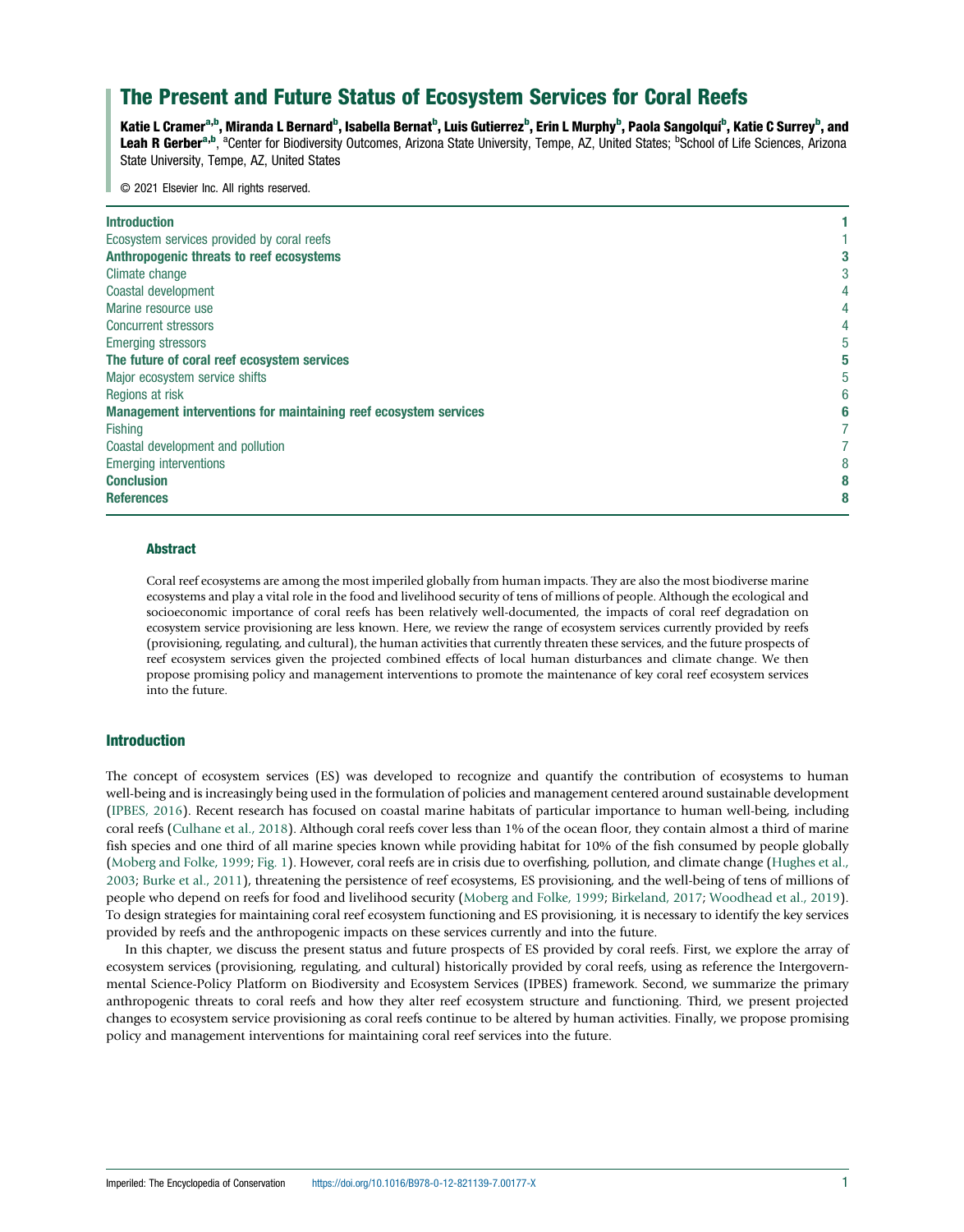# The Present and Future Status of Ecosystem Services for Coral Reefs

Katie L Cramer<sup>a,b</sup>, Miranda L Bernard<sup>b</sup>, Isabella Bernat<sup>b</sup>, Luis Gutierrez<sup>b</sup>, Erin L Murphy<sup>b</sup>, Paola Sangolquí<sup>b</sup>, Katie C Surrey<sup>b</sup>, and Leah R Gerber<sup>a,b</sup>, <sup>a</sup>Center for Biodiversity Outcomes, Arizona State University, Tempe, AZ, United States; <sup>b</sup>School of Life Sciences, Arizona State University, Tempe, AZ, United States

© 2021 Elsevier Inc. All rights reserved.

| <b>Introduction</b>                                              |  |
|------------------------------------------------------------------|--|
| Ecosystem services provided by coral reefs                       |  |
| Anthropogenic threats to reef ecosystems                         |  |
| Climate change                                                   |  |
| Coastal development                                              |  |
| Marine resource use                                              |  |
| <b>Concurrent stressors</b>                                      |  |
| <b>Emerging stressors</b>                                        |  |
| The future of coral reef ecosystem services                      |  |
| Major ecosystem service shifts                                   |  |
| Regions at risk                                                  |  |
| Management interventions for maintaining reef ecosystem services |  |
| <b>Fishing</b>                                                   |  |
| Coastal development and pollution                                |  |
| <b>Emerging interventions</b>                                    |  |
| <b>Conclusion</b>                                                |  |
| <b>References</b>                                                |  |

## **Abstract**

Coral reef ecosystems are among the most imperiled globally from human impacts. They are also the most biodiverse marine ecosystems and play a vital role in the food and livelihood security of tens of millions of people. Although the ecological and socioeconomic importance of coral reefs has been relatively well-documented, the impacts of coral reef degradation on ecosystem service provisioning are less known. Here, we review the range of ecosystem services currently provided by reefs (provisioning, regulating, and cultural), the human activities that currently threaten these services, and the future prospects of reef ecosystem services given the projected combined effects of local human disturbances and climate change. We then propose promising policy and management interventions to promote the maintenance of key coral reef ecosystem services into the future.

# Introduction

The concept of ecosystem services (ES) was developed to recognize and quantify the contribution of ecosystems to human well-being and is increasingly being used in the formulation of policies and management centered around sustainable development ([IPBES, 2016\)](#page-7-0). Recent research has focused on coastal marine habitats of particular importance to human well-being, including coral reefs ([Culhane et al., 2018\)](#page-7-0). Although coral reefs cover less than 1% of the ocean floor, they contain almost a third of marine fish species and one third of all marine species known while providing habitat for 10% of the fish consumed by people globally ([Moberg and Folke, 1999](#page-8-0); [Fig. 1\)](#page-1-0). However, coral reefs are in crisis due to overfishing, pollution, and climate change [\(Hughes et al.,](#page-7-0) [2003](#page-7-0); [Burke et al., 2011](#page-7-0)), threatening the persistence of reef ecosystems, ES provisioning, and the well-being of tens of millions of people who depend on reefs for food and livelihood security ([Moberg and Folke, 1999;](#page-8-0) [Birkeland, 2017](#page-7-0); [Woodhead et al., 2019\)](#page-8-0). To design strategies for maintaining coral reef ecosystem functioning and ES provisioning, it is necessary to identify the key services provided by reefs and the anthropogenic impacts on these services currently and into the future.

In this chapter, we discuss the present status and future prospects of ES provided by coral reefs. First, we explore the array of ecosystem services (provisioning, regulating, and cultural) historically provided by coral reefs, using as reference the Intergovernmental Science-Policy Platform on Biodiversity and Ecosystem Services (IPBES) framework. Second, we summarize the primary anthropogenic threats to coral reefs and how they alter reef ecosystem structure and functioning. Third, we present projected changes to ecosystem service provisioning as coral reefs continue to be altered by human activities. Finally, we propose promising policy and management interventions for maintaining coral reef services into the future.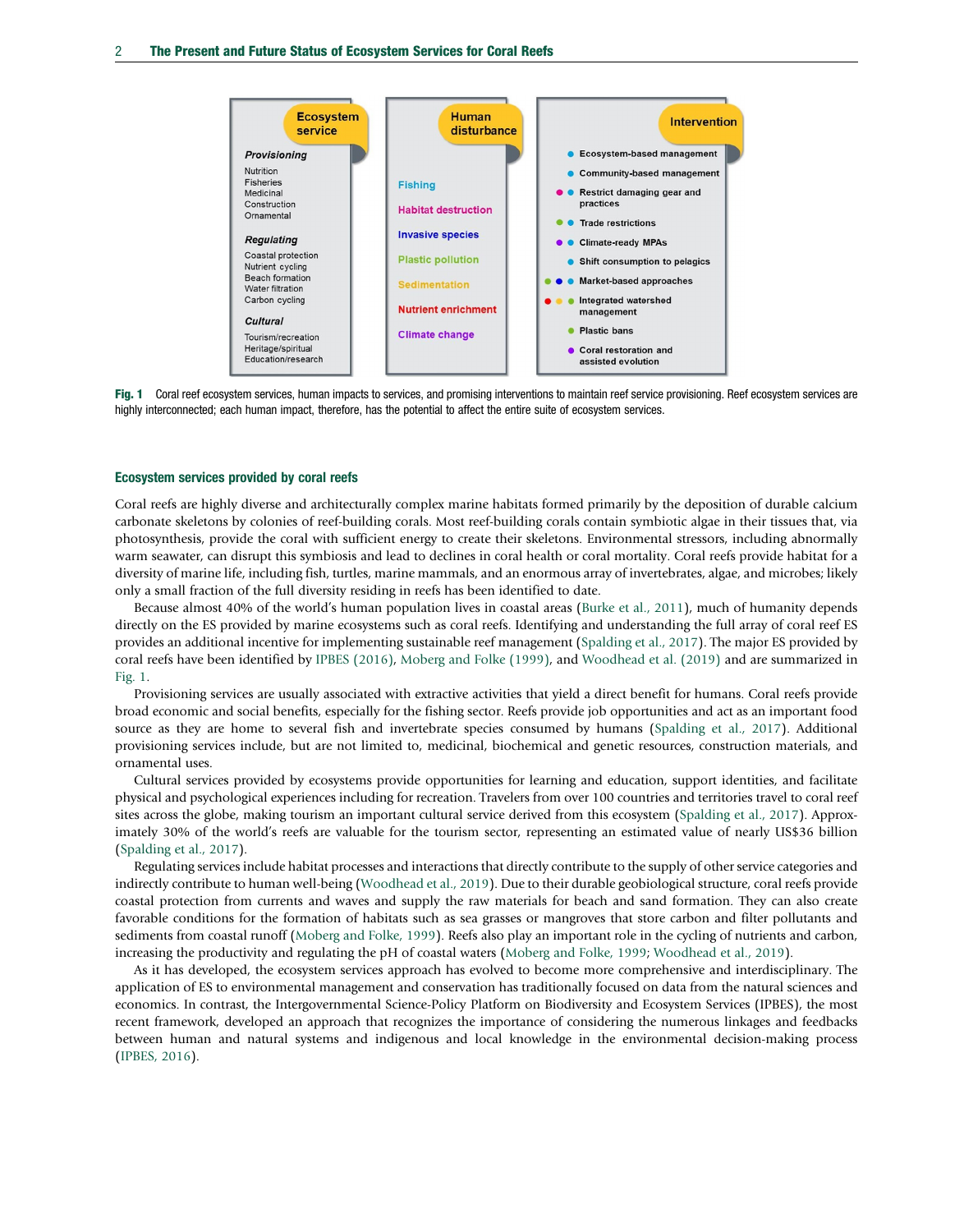<span id="page-1-0"></span>

Fig. 1 Coral reef ecosystem services, human impacts to services, and promising interventions to maintain reef service provisioning. Reef ecosystem services are highly interconnected; each human impact, therefore, has the potential to affect the entire suite of ecosystem services.

#### Ecosystem services provided by coral reefs

Coral reefs are highly diverse and architecturally complex marine habitats formed primarily by the deposition of durable calcium carbonate skeletons by colonies of reef-building corals. Most reef-building corals contain symbiotic algae in their tissues that, via photosynthesis, provide the coral with sufficient energy to create their skeletons. Environmental stressors, including abnormally warm seawater, can disrupt this symbiosis and lead to declines in coral health or coral mortality. Coral reefs provide habitat for a diversity of marine life, including fish, turtles, marine mammals, and an enormous array of invertebrates, algae, and microbes; likely only a small fraction of the full diversity residing in reefs has been identified to date.

Because almost 40% of the world's human population lives in coastal areas ([Burke et al., 2011](#page-7-0)), much of humanity depends directly on the ES provided by marine ecosystems such as coral reefs. Identifying and understanding the full array of coral reef ES provides an additional incentive for implementing sustainable reef management [\(Spalding et al., 2017](#page-8-0)). The major ES provided by coral reefs have been identified by [IPBES \(2016\),](#page-7-0) [Moberg and Folke \(1999\)](#page-8-0), and [Woodhead et al. \(2019\)](#page-8-0) and are summarized in Fig. 1.

Provisioning services are usually associated with extractive activities that yield a direct benefit for humans. Coral reefs provide broad economic and social benefits, especially for the fishing sector. Reefs provide job opportunities and act as an important food source as they are home to several fish and invertebrate species consumed by humans ([Spalding et al., 2017](#page-8-0)). Additional provisioning services include, but are not limited to, medicinal, biochemical and genetic resources, construction materials, and ornamental uses.

Cultural services provided by ecosystems provide opportunities for learning and education, support identities, and facilitate physical and psychological experiences including for recreation. Travelers from over 100 countries and territories travel to coral reef sites across the globe, making tourism an important cultural service derived from this ecosystem ([Spalding et al., 2017](#page-8-0)). Approximately 30% of the world's reefs are valuable for the tourism sector, representing an estimated value of nearly US\$36 billion ([Spalding et al., 2017\)](#page-8-0).

Regulating services include habitat processes and interactions that directly contribute to the supply of other service categories and indirectly contribute to human well-being [\(Woodhead et al., 2019\)](#page-8-0). Due to their durable geobiological structure, coral reefs provide coastal protection from currents and waves and supply the raw materials for beach and sand formation. They can also create favorable conditions for the formation of habitats such as sea grasses or mangroves that store carbon and filter pollutants and sediments from coastal runoff ([Moberg and Folke, 1999\)](#page-8-0). Reefs also play an important role in the cycling of nutrients and carbon, increasing the productivity and regulating the pH of coastal waters [\(Moberg and Folke, 1999;](#page-8-0) [Woodhead et al., 2019](#page-8-0)).

As it has developed, the ecosystem services approach has evolved to become more comprehensive and interdisciplinary. The application of ES to environmental management and conservation has traditionally focused on data from the natural sciences and economics. In contrast, the Intergovernmental Science-Policy Platform on Biodiversity and Ecosystem Services (IPBES), the most recent framework, developed an approach that recognizes the importance of considering the numerous linkages and feedbacks between human and natural systems and indigenous and local knowledge in the environmental decision-making process ([IPBES, 2016](#page-7-0)).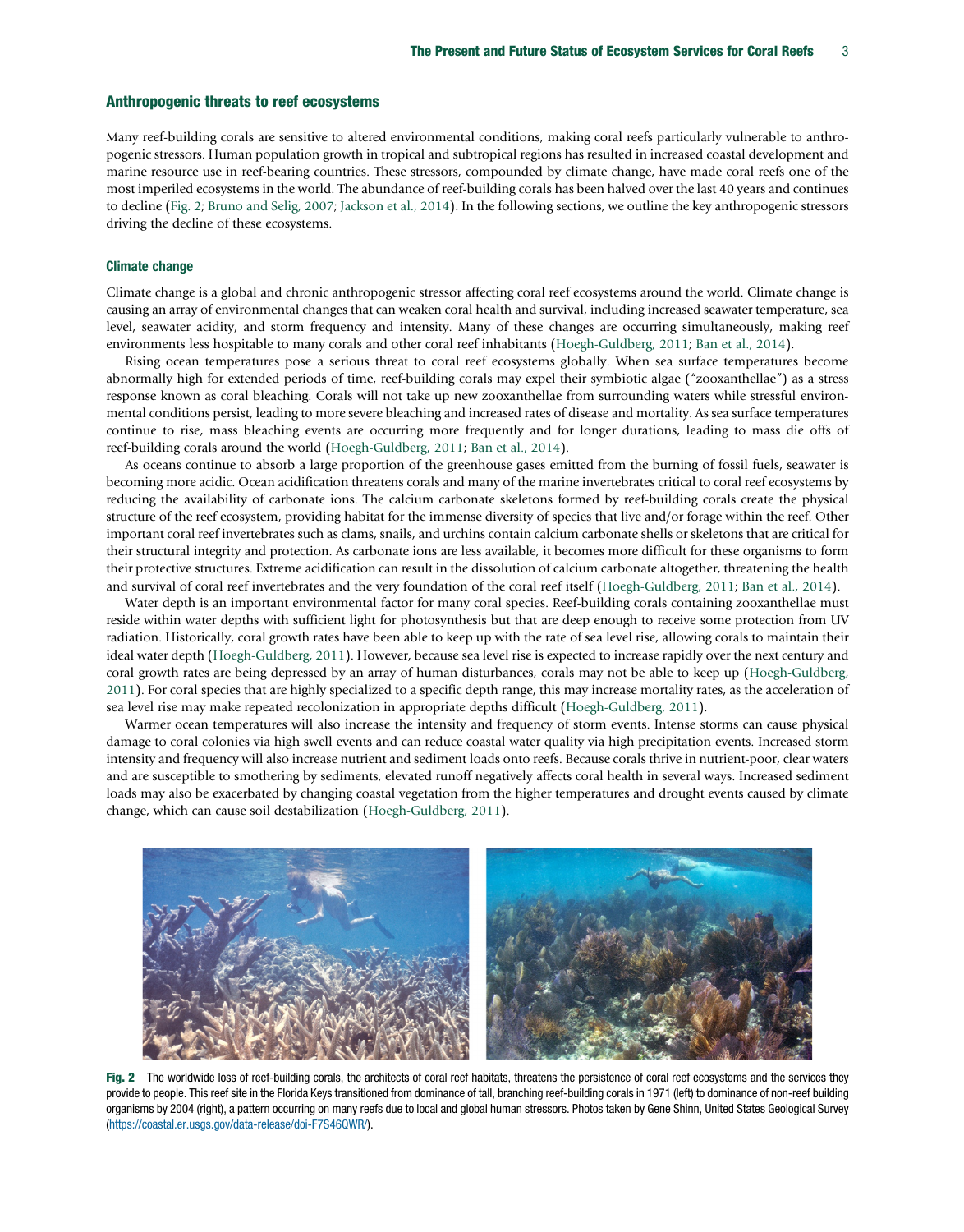## Anthropogenic threats to reef ecosystems

Many reef-building corals are sensitive to altered environmental conditions, making coral reefs particularly vulnerable to anthropogenic stressors. Human population growth in tropical and subtropical regions has resulted in increased coastal development and marine resource use in reef-bearing countries. These stressors, compounded by climate change, have made coral reefs one of the most imperiled ecosystems in the world. The abundance of reef-building corals has been halved over the last 40 years and continues to decline (Fig. 2; [Bruno and Selig, 2007](#page-7-0); [Jackson et al., 2014\)](#page-7-0). In the following sections, we outline the key anthropogenic stressors driving the decline of these ecosystems.

## Climate change

Climate change is a global and chronic anthropogenic stressor affecting coral reef ecosystems around the world. Climate change is causing an array of environmental changes that can weaken coral health and survival, including increased seawater temperature, sea level, seawater acidity, and storm frequency and intensity. Many of these changes are occurring simultaneously, making reef environments less hospitable to many corals and other coral reef inhabitants [\(Hoegh-Guldberg, 2011](#page-7-0); [Ban et al., 2014](#page-7-0)).

Rising ocean temperatures pose a serious threat to coral reef ecosystems globally. When sea surface temperatures become abnormally high for extended periods of time, reef-building corals may expel their symbiotic algae ("zooxanthellae") as a stress response known as coral bleaching. Corals will not take up new zooxanthellae from surrounding waters while stressful environmental conditions persist, leading to more severe bleaching and increased rates of disease and mortality. As sea surface temperatures continue to rise, mass bleaching events are occurring more frequently and for longer durations, leading to mass die offs of reef-building corals around the world [\(Hoegh-Guldberg, 2011](#page-7-0); [Ban et al., 2014](#page-7-0)).

As oceans continue to absorb a large proportion of the greenhouse gases emitted from the burning of fossil fuels, seawater is becoming more acidic. Ocean acidification threatens corals and many of the marine invertebrates critical to coral reef ecosystems by reducing the availability of carbonate ions. The calcium carbonate skeletons formed by reef-building corals create the physical structure of the reef ecosystem, providing habitat for the immense diversity of species that live and/or forage within the reef. Other important coral reef invertebrates such as clams, snails, and urchins contain calcium carbonate shells or skeletons that are critical for their structural integrity and protection. As carbonate ions are less available, it becomes more difficult for these organisms to form their protective structures. Extreme acidification can result in the dissolution of calcium carbonate altogether, threatening the health and survival of coral reef invertebrates and the very foundation of the coral reef itself [\(Hoegh-Guldberg, 2011;](#page-7-0) [Ban et al., 2014](#page-7-0)).

Water depth is an important environmental factor for many coral species. Reef-building corals containing zooxanthellae must reside within water depths with sufficient light for photosynthesis but that are deep enough to receive some protection from UV radiation. Historically, coral growth rates have been able to keep up with the rate of sea level rise, allowing corals to maintain their ideal water depth [\(Hoegh-Guldberg, 2011](#page-7-0)). However, because sea level rise is expected to increase rapidly over the next century and coral growth rates are being depressed by an array of human disturbances, corals may not be able to keep up ([Hoegh-Guldberg,](#page-7-0) [2011](#page-7-0)). For coral species that are highly specialized to a specific depth range, this may increase mortality rates, as the acceleration of sea level rise may make repeated recolonization in appropriate depths difficult [\(Hoegh-Guldberg, 2011\)](#page-7-0).

Warmer ocean temperatures will also increase the intensity and frequency of storm events. Intense storms can cause physical damage to coral colonies via high swell events and can reduce coastal water quality via high precipitation events. Increased storm intensity and frequency will also increase nutrient and sediment loads onto reefs. Because corals thrive in nutrient-poor, clear waters and are susceptible to smothering by sediments, elevated runoff negatively affects coral health in several ways. Increased sediment loads may also be exacerbated by changing coastal vegetation from the higher temperatures and drought events caused by climate change, which can cause soil destabilization ([Hoegh-Guldberg, 2011](#page-7-0)).



Fig. 2 The worldwide loss of reef-building corals, the architects of coral reef habitats, threatens the persistence of coral reef ecosystems and the services they provide to people. This reef site in the Florida Keys transitioned from dominance of tall, branching reef-building corals in 1971 (left) to dominance of non-reef building organisms by 2004 (right), a pattern occurring on many reefs due to local and global human stressors. Photos taken by Gene Shinn, United States Geological Survey [\(https://coastal.er.usgs.gov/data-release/doi-F7S46QWR/](https://coastal.er.usgs.gov/data-release/doi-F7S46QWR/)).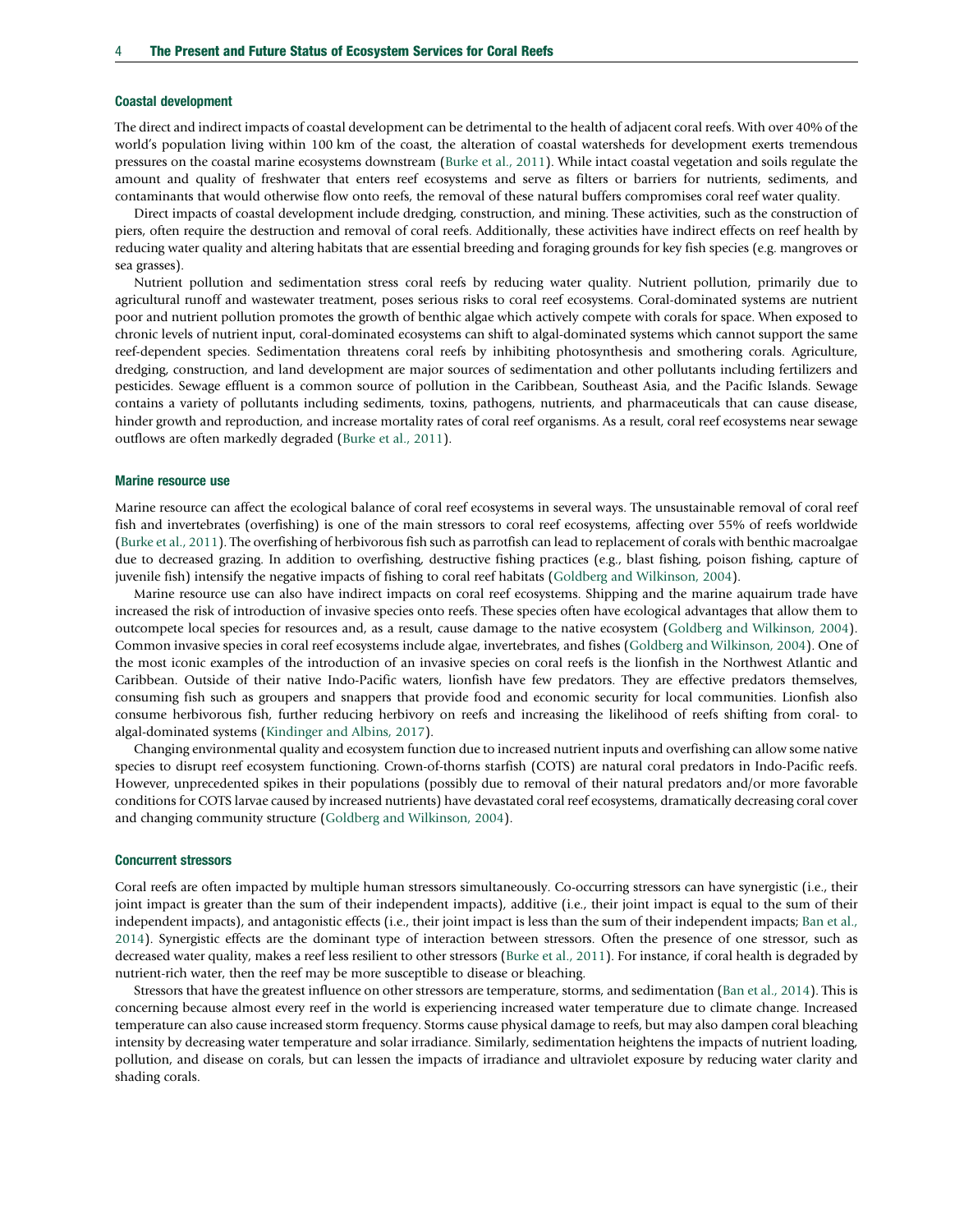### Coastal development

The direct and indirect impacts of coastal development can be detrimental to the health of adjacent coral reefs. With over 40% of the world's population living within 100 km of the coast, the alteration of coastal watersheds for development exerts tremendous pressures on the coastal marine ecosystems downstream ([Burke et al., 2011\)](#page-7-0). While intact coastal vegetation and soils regulate the amount and quality of freshwater that enters reef ecosystems and serve as filters or barriers for nutrients, sediments, and contaminants that would otherwise flow onto reefs, the removal of these natural buffers compromises coral reef water quality.

Direct impacts of coastal development include dredging, construction, and mining. These activities, such as the construction of piers, often require the destruction and removal of coral reefs. Additionally, these activities have indirect effects on reef health by reducing water quality and altering habitats that are essential breeding and foraging grounds for key fish species (e.g. mangroves or sea grasses).

Nutrient pollution and sedimentation stress coral reefs by reducing water quality. Nutrient pollution, primarily due to agricultural runoff and wastewater treatment, poses serious risks to coral reef ecosystems. Coral-dominated systems are nutrient poor and nutrient pollution promotes the growth of benthic algae which actively compete with corals for space. When exposed to chronic levels of nutrient input, coral-dominated ecosystems can shift to algal-dominated systems which cannot support the same reef-dependent species. Sedimentation threatens coral reefs by inhibiting photosynthesis and smothering corals. Agriculture, dredging, construction, and land development are major sources of sedimentation and other pollutants including fertilizers and pesticides. Sewage effluent is a common source of pollution in the Caribbean, Southeast Asia, and the Pacific Islands. Sewage contains a variety of pollutants including sediments, toxins, pathogens, nutrients, and pharmaceuticals that can cause disease, hinder growth and reproduction, and increase mortality rates of coral reef organisms. As a result, coral reef ecosystems near sewage outflows are often markedly degraded ([Burke et al., 2011\)](#page-7-0).

### Marine resource use

Marine resource can affect the ecological balance of coral reef ecosystems in several ways. The unsustainable removal of coral reef fish and invertebrates (overfishing) is one of the main stressors to coral reef ecosystems, affecting over 55% of reefs worldwide ([Burke et al., 2011\)](#page-7-0). The overfishing of herbivorous fish such as parrotfish can lead to replacement of corals with benthic macroalgae due to decreased grazing. In addition to overfishing, destructive fishing practices (e.g., blast fishing, poison fishing, capture of juvenile fish) intensify the negative impacts of fishing to coral reef habitats ([Goldberg and Wilkinson, 2004](#page-7-0)).

Marine resource use can also have indirect impacts on coral reef ecosystems. Shipping and the marine aquairum trade have increased the risk of introduction of invasive species onto reefs. These species often have ecological advantages that allow them to outcompete local species for resources and, as a result, cause damage to the native ecosystem [\(Goldberg and Wilkinson, 2004](#page-7-0)). Common invasive species in coral reef ecosystems include algae, invertebrates, and fishes ([Goldberg and Wilkinson, 2004](#page-7-0)). One of the most iconic examples of the introduction of an invasive species on coral reefs is the lionfish in the Northwest Atlantic and Caribbean. Outside of their native Indo-Pacific waters, lionfish have few predators. They are effective predators themselves, consuming fish such as groupers and snappers that provide food and economic security for local communities. Lionfish also consume herbivorous fish, further reducing herbivory on reefs and increasing the likelihood of reefs shifting from coral- to algal-dominated systems [\(Kindinger and Albins, 2017\)](#page-7-0).

Changing environmental quality and ecosystem function due to increased nutrient inputs and overfishing can allow some native species to disrupt reef ecosystem functioning. Crown-of-thorns starfish (COTS) are natural coral predators in Indo-Pacific reefs. However, unprecedented spikes in their populations (possibly due to removal of their natural predators and/or more favorable conditions for COTS larvae caused by increased nutrients) have devastated coral reef ecosystems, dramatically decreasing coral cover and changing community structure ([Goldberg and Wilkinson, 2004](#page-7-0)).

#### Concurrent stressors

Coral reefs are often impacted by multiple human stressors simultaneously. Co-occurring stressors can have synergistic (i.e., their joint impact is greater than the sum of their independent impacts), additive (i.e., their joint impact is equal to the sum of their independent impacts), and antagonistic effects (i.e., their joint impact is less than the sum of their independent impacts; [Ban et al.,](#page-7-0) [2014\)](#page-7-0). Synergistic effects are the dominant type of interaction between stressors. Often the presence of one stressor, such as decreased water quality, makes a reef less resilient to other stressors [\(Burke et al., 2011\)](#page-7-0). For instance, if coral health is degraded by nutrient-rich water, then the reef may be more susceptible to disease or bleaching.

Stressors that have the greatest influence on other stressors are temperature, storms, and sedimentation ([Ban et al., 2014\)](#page-7-0). This is concerning because almost every reef in the world is experiencing increased water temperature due to climate change. Increased temperature can also cause increased storm frequency. Storms cause physical damage to reefs, but may also dampen coral bleaching intensity by decreasing water temperature and solar irradiance. Similarly, sedimentation heightens the impacts of nutrient loading, pollution, and disease on corals, but can lessen the impacts of irradiance and ultraviolet exposure by reducing water clarity and shading corals.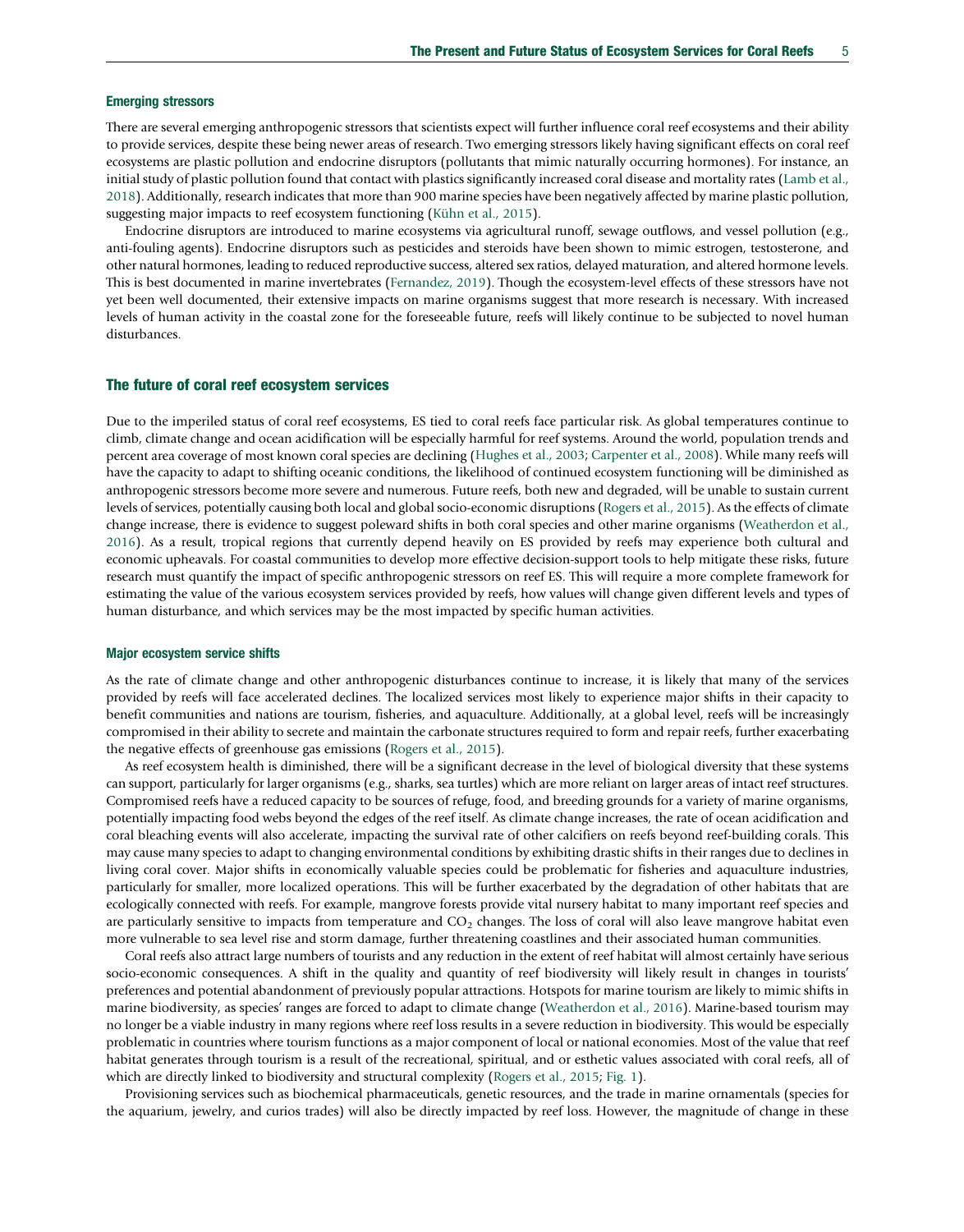#### Emerging stressors

There are several emerging anthropogenic stressors that scientists expect will further influence coral reef ecosystems and their ability to provide services, despite these being newer areas of research. Two emerging stressors likely having significant effects on coral reef ecosystems are plastic pollution and endocrine disruptors (pollutants that mimic naturally occurring hormones). For instance, an initial study of plastic pollution found that contact with plastics significantly increased coral disease and mortality rates ([Lamb et al.,](#page-8-0) [2018](#page-8-0)). Additionally, research indicates that more than 900 marine species have been negatively affected by marine plastic pollution, suggesting major impacts to reef ecosystem functioning ([Kühn et al., 2015](#page-8-0)).

Endocrine disruptors are introduced to marine ecosystems via agricultural runoff, sewage outflows, and vessel pollution (e.g., anti-fouling agents). Endocrine disruptors such as pesticides and steroids have been shown to mimic estrogen, testosterone, and other natural hormones, leading to reduced reproductive success, altered sex ratios, delayed maturation, and altered hormone levels. This is best documented in marine invertebrates ([Fernandez, 2019\)](#page-7-0). Though the ecosystem-level effects of these stressors have not yet been well documented, their extensive impacts on marine organisms suggest that more research is necessary. With increased levels of human activity in the coastal zone for the foreseeable future, reefs will likely continue to be subjected to novel human disturbances.

## The future of coral reef ecosystem services

Due to the imperiled status of coral reef ecosystems, ES tied to coral reefs face particular risk. As global temperatures continue to climb, climate change and ocean acidification will be especially harmful for reef systems. Around the world, population trends and percent area coverage of most known coral species are declining ([Hughes et al., 2003;](#page-7-0) [Carpenter et al., 2008](#page-7-0)). While many reefs will have the capacity to adapt to shifting oceanic conditions, the likelihood of continued ecosystem functioning will be diminished as anthropogenic stressors become more severe and numerous. Future reefs, both new and degraded, will be unable to sustain current levels of services, potentially causing both local and global socio-economic disruptions [\(Rogers et al., 2015](#page-8-0)). As the effects of climate change increase, there is evidence to suggest poleward shifts in both coral species and other marine organisms ([Weatherdon et al.,](#page-8-0) [2016](#page-8-0)). As a result, tropical regions that currently depend heavily on ES provided by reefs may experience both cultural and economic upheavals. For coastal communities to develop more effective decision-support tools to help mitigate these risks, future research must quantify the impact of specific anthropogenic stressors on reef ES. This will require a more complete framework for estimating the value of the various ecosystem services provided by reefs, how values will change given different levels and types of human disturbance, and which services may be the most impacted by specific human activities.

## Major ecosystem service shifts

As the rate of climate change and other anthropogenic disturbances continue to increase, it is likely that many of the services provided by reefs will face accelerated declines. The localized services most likely to experience major shifts in their capacity to benefit communities and nations are tourism, fisheries, and aquaculture. Additionally, at a global level, reefs will be increasingly compromised in their ability to secrete and maintain the carbonate structures required to form and repair reefs, further exacerbating the negative effects of greenhouse gas emissions ([Rogers et al., 2015\)](#page-8-0).

As reef ecosystem health is diminished, there will be a significant decrease in the level of biological diversity that these systems can support, particularly for larger organisms (e.g., sharks, sea turtles) which are more reliant on larger areas of intact reef structures. Compromised reefs have a reduced capacity to be sources of refuge, food, and breeding grounds for a variety of marine organisms, potentially impacting food webs beyond the edges of the reef itself. As climate change increases, the rate of ocean acidification and coral bleaching events will also accelerate, impacting the survival rate of other calcifiers on reefs beyond reef-building corals. This may cause many species to adapt to changing environmental conditions by exhibiting drastic shifts in their ranges due to declines in living coral cover. Major shifts in economically valuable species could be problematic for fisheries and aquaculture industries, particularly for smaller, more localized operations. This will be further exacerbated by the degradation of other habitats that are ecologically connected with reefs. For example, mangrove forests provide vital nursery habitat to many important reef species and are particularly sensitive to impacts from temperature and  $CO<sub>2</sub>$  changes. The loss of coral will also leave mangrove habitat even more vulnerable to sea level rise and storm damage, further threatening coastlines and their associated human communities.

Coral reefs also attract large numbers of tourists and any reduction in the extent of reef habitat will almost certainly have serious socio-economic consequences. A shift in the quality and quantity of reef biodiversity will likely result in changes in tourists' preferences and potential abandonment of previously popular attractions. Hotspots for marine tourism are likely to mimic shifts in marine biodiversity, as species' ranges are forced to adapt to climate change [\(Weatherdon et al., 2016\)](#page-8-0). Marine-based tourism may no longer be a viable industry in many regions where reef loss results in a severe reduction in biodiversity. This would be especially problematic in countries where tourism functions as a major component of local or national economies. Most of the value that reef habitat generates through tourism is a result of the recreational, spiritual, and or esthetic values associated with coral reefs, all of which are directly linked to biodiversity and structural complexity [\(Rogers et al., 2015;](#page-8-0) [Fig. 1](#page-1-0)).

Provisioning services such as biochemical pharmaceuticals, genetic resources, and the trade in marine ornamentals (species for the aquarium, jewelry, and curios trades) will also be directly impacted by reef loss. However, the magnitude of change in these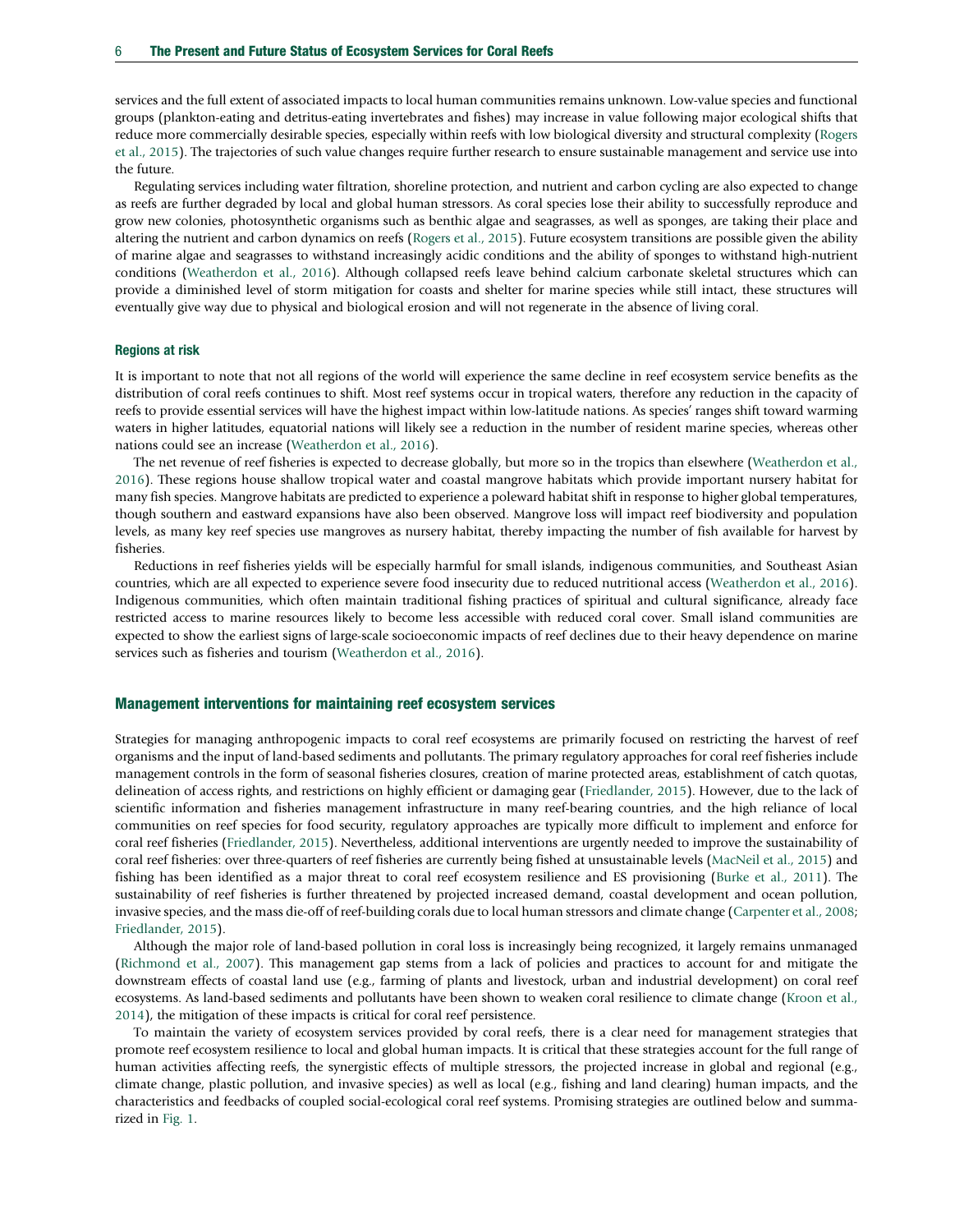services and the full extent of associated impacts to local human communities remains unknown. Low-value species and functional groups (plankton-eating and detritus-eating invertebrates and fishes) may increase in value following major ecological shifts that reduce more commercially desirable species, especially within reefs with low biological diversity and structural complexity ([Rogers](#page-8-0) [et al., 2015](#page-8-0)). The trajectories of such value changes require further research to ensure sustainable management and service use into the future.

Regulating services including water filtration, shoreline protection, and nutrient and carbon cycling are also expected to change as reefs are further degraded by local and global human stressors. As coral species lose their ability to successfully reproduce and grow new colonies, photosynthetic organisms such as benthic algae and seagrasses, as well as sponges, are taking their place and altering the nutrient and carbon dynamics on reefs [\(Rogers et al., 2015\)](#page-8-0). Future ecosystem transitions are possible given the ability of marine algae and seagrasses to withstand increasingly acidic conditions and the ability of sponges to withstand high-nutrient conditions ([Weatherdon et al., 2016](#page-8-0)). Although collapsed reefs leave behind calcium carbonate skeletal structures which can provide a diminished level of storm mitigation for coasts and shelter for marine species while still intact, these structures will eventually give way due to physical and biological erosion and will not regenerate in the absence of living coral.

## Regions at risk

It is important to note that not all regions of the world will experience the same decline in reef ecosystem service benefits as the distribution of coral reefs continues to shift. Most reef systems occur in tropical waters, therefore any reduction in the capacity of reefs to provide essential services will have the highest impact within low-latitude nations. As species' ranges shift toward warming waters in higher latitudes, equatorial nations will likely see a reduction in the number of resident marine species, whereas other nations could see an increase [\(Weatherdon et al., 2016\)](#page-8-0).

The net revenue of reef fisheries is expected to decrease globally, but more so in the tropics than elsewhere [\(Weatherdon et al.,](#page-8-0) [2016\)](#page-8-0). These regions house shallow tropical water and coastal mangrove habitats which provide important nursery habitat for many fish species. Mangrove habitats are predicted to experience a poleward habitat shift in response to higher global temperatures, though southern and eastward expansions have also been observed. Mangrove loss will impact reef biodiversity and population levels, as many key reef species use mangroves as nursery habitat, thereby impacting the number of fish available for harvest by fisheries.

Reductions in reef fisheries yields will be especially harmful for small islands, indigenous communities, and Southeast Asian countries, which are all expected to experience severe food insecurity due to reduced nutritional access [\(Weatherdon et al., 2016](#page-8-0)). Indigenous communities, which often maintain traditional fishing practices of spiritual and cultural significance, already face restricted access to marine resources likely to become less accessible with reduced coral cover. Small island communities are expected to show the earliest signs of large-scale socioeconomic impacts of reef declines due to their heavy dependence on marine services such as fisheries and tourism [\(Weatherdon et al., 2016\)](#page-8-0).

## Management interventions for maintaining reef ecosystem services

Strategies for managing anthropogenic impacts to coral reef ecosystems are primarily focused on restricting the harvest of reef organisms and the input of land-based sediments and pollutants. The primary regulatory approaches for coral reef fisheries include management controls in the form of seasonal fisheries closures, creation of marine protected areas, establishment of catch quotas, delineation of access rights, and restrictions on highly efficient or damaging gear ([Friedlander, 2015](#page-7-0)). However, due to the lack of scientific information and fisheries management infrastructure in many reef-bearing countries, and the high reliance of local communities on reef species for food security, regulatory approaches are typically more difficult to implement and enforce for coral reef fisheries [\(Friedlander, 2015\)](#page-7-0). Nevertheless, additional interventions are urgently needed to improve the sustainability of coral reef fisheries: over three-quarters of reef fisheries are currently being fished at unsustainable levels [\(MacNeil et al., 2015](#page-8-0)) and fishing has been identified as a major threat to coral reef ecosystem resilience and ES provisioning ([Burke et al., 2011](#page-7-0)). The sustainability of reef fisheries is further threatened by projected increased demand, coastal development and ocean pollution, invasive species, and the mass die-off of reef-building corals due to local human stressors and climate change ([Carpenter et al., 2008;](#page-7-0) [Friedlander, 2015\)](#page-7-0).

Although the major role of land-based pollution in coral loss is increasingly being recognized, it largely remains unmanaged ([Richmond et al., 2007\)](#page-8-0). This management gap stems from a lack of policies and practices to account for and mitigate the downstream effects of coastal land use (e.g., farming of plants and livestock, urban and industrial development) on coral reef ecosystems. As land-based sediments and pollutants have been shown to weaken coral resilience to climate change ([Kroon et al.,](#page-8-0) [2014\)](#page-8-0), the mitigation of these impacts is critical for coral reef persistence.

To maintain the variety of ecosystem services provided by coral reefs, there is a clear need for management strategies that promote reef ecosystem resilience to local and global human impacts. It is critical that these strategies account for the full range of human activities affecting reefs, the synergistic effects of multiple stressors, the projected increase in global and regional (e.g., climate change, plastic pollution, and invasive species) as well as local (e.g., fishing and land clearing) human impacts, and the characteristics and feedbacks of coupled social-ecological coral reef systems. Promising strategies are outlined below and summarized in [Fig. 1](#page-1-0).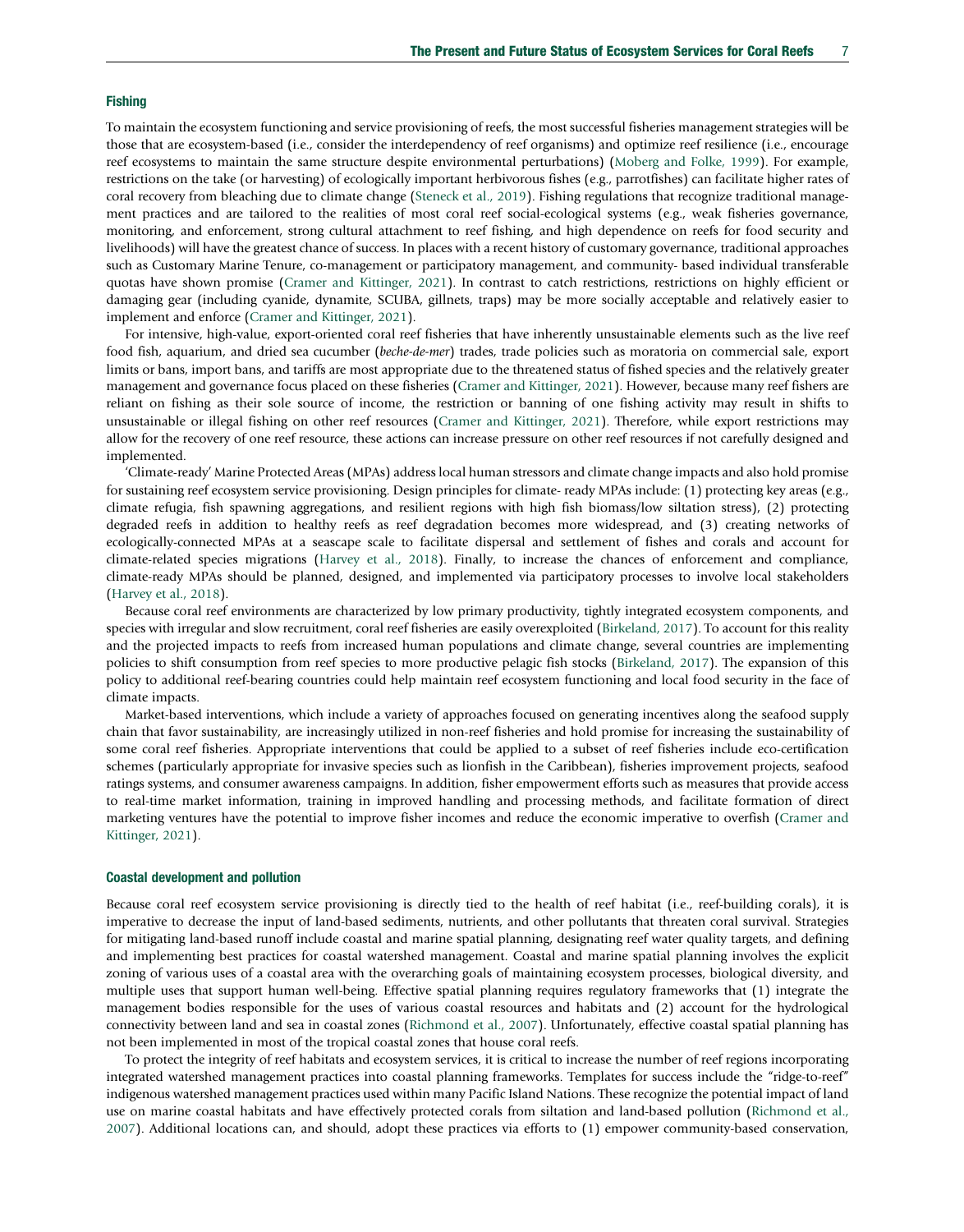#### **Fishing**

To maintain the ecosystem functioning and service provisioning of reefs, the most successful fisheries management strategies will be those that are ecosystem-based (i.e., consider the interdependency of reef organisms) and optimize reef resilience (i.e., encourage reef ecosystems to maintain the same structure despite environmental perturbations) ([Moberg and Folke, 1999\)](#page-8-0). For example, restrictions on the take (or harvesting) of ecologically important herbivorous fishes (e.g., parrotfishes) can facilitate higher rates of coral recovery from bleaching due to climate change ([Steneck et al., 2019](#page-8-0)). Fishing regulations that recognize traditional management practices and are tailored to the realities of most coral reef social-ecological systems (e.g., weak fisheries governance, monitoring, and enforcement, strong cultural attachment to reef fishing, and high dependence on reefs for food security and livelihoods) will have the greatest chance of success. In places with a recent history of customary governance, traditional approaches such as Customary Marine Tenure, co-management or participatory management, and community- based individual transferable quotas have shown promise ([Cramer and Kittinger, 2021](#page-7-0)). In contrast to catch restrictions, restrictions on highly efficient or damaging gear (including cyanide, dynamite, SCUBA, gillnets, traps) may be more socially acceptable and relatively easier to implement and enforce ([Cramer and Kittinger, 2021\)](#page-7-0).

For intensive, high-value, export-oriented coral reef fisheries that have inherently unsustainable elements such as the live reef food fish, aquarium, and dried sea cucumber (beche-de-mer) trades, trade policies such as moratoria on commercial sale, export limits or bans, import bans, and tariffs are most appropriate due to the threatened status of fished species and the relatively greater management and governance focus placed on these fisheries ([Cramer and Kittinger, 2021](#page-7-0)). However, because many reef fishers are reliant on fishing as their sole source of income, the restriction or banning of one fishing activity may result in shifts to unsustainable or illegal fishing on other reef resources ([Cramer and Kittinger, 2021\)](#page-7-0). Therefore, while export restrictions may allow for the recovery of one reef resource, these actions can increase pressure on other reef resources if not carefully designed and implemented.

'Climate-ready' Marine Protected Areas (MPAs) address local human stressors and climate change impacts and also hold promise for sustaining reef ecosystem service provisioning. Design principles for climate- ready MPAs include: (1) protecting key areas (e.g., climate refugia, fish spawning aggregations, and resilient regions with high fish biomass/low siltation stress), (2) protecting degraded reefs in addition to healthy reefs as reef degradation becomes more widespread, and (3) creating networks of ecologically-connected MPAs at a seascape scale to facilitate dispersal and settlement of fishes and corals and account for climate-related species migrations ([Harvey et al., 2018](#page-7-0)). Finally, to increase the chances of enforcement and compliance, climate-ready MPAs should be planned, designed, and implemented via participatory processes to involve local stakeholders ([Harvey et al., 2018\)](#page-7-0).

Because coral reef environments are characterized by low primary productivity, tightly integrated ecosystem components, and species with irregular and slow recruitment, coral reef fisheries are easily overexploited [\(Birkeland, 2017\)](#page-7-0). To account for this reality and the projected impacts to reefs from increased human populations and climate change, several countries are implementing policies to shift consumption from reef species to more productive pelagic fish stocks ([Birkeland, 2017](#page-7-0)). The expansion of this policy to additional reef-bearing countries could help maintain reef ecosystem functioning and local food security in the face of climate impacts.

Market-based interventions, which include a variety of approaches focused on generating incentives along the seafood supply chain that favor sustainability, are increasingly utilized in non-reef fisheries and hold promise for increasing the sustainability of some coral reef fisheries. Appropriate interventions that could be applied to a subset of reef fisheries include eco-certification schemes (particularly appropriate for invasive species such as lionfish in the Caribbean), fisheries improvement projects, seafood ratings systems, and consumer awareness campaigns. In addition, fisher empowerment efforts such as measures that provide access to real-time market information, training in improved handling and processing methods, and facilitate formation of direct marketing ventures have the potential to improve fisher incomes and reduce the economic imperative to overfish [\(Cramer and](#page-7-0) [Kittinger, 2021](#page-7-0)).

#### Coastal development and pollution

Because coral reef ecosystem service provisioning is directly tied to the health of reef habitat (i.e., reef-building corals), it is imperative to decrease the input of land-based sediments, nutrients, and other pollutants that threaten coral survival. Strategies for mitigating land-based runoff include coastal and marine spatial planning, designating reef water quality targets, and defining and implementing best practices for coastal watershed management. Coastal and marine spatial planning involves the explicit zoning of various uses of a coastal area with the overarching goals of maintaining ecosystem processes, biological diversity, and multiple uses that support human well-being. Effective spatial planning requires regulatory frameworks that (1) integrate the management bodies responsible for the uses of various coastal resources and habitats and (2) account for the hydrological connectivity between land and sea in coastal zones ([Richmond et al., 2007\)](#page-8-0). Unfortunately, effective coastal spatial planning has not been implemented in most of the tropical coastal zones that house coral reefs.

To protect the integrity of reef habitats and ecosystem services, it is critical to increase the number of reef regions incorporating integrated watershed management practices into coastal planning frameworks. Templates for success include the "ridge-to-reef" indigenous watershed management practices used within many Pacific Island Nations. These recognize the potential impact of land use on marine coastal habitats and have effectively protected corals from siltation and land-based pollution [\(Richmond et al.,](#page-8-0) [2007](#page-8-0)). Additional locations can, and should, adopt these practices via efforts to (1) empower community-based conservation,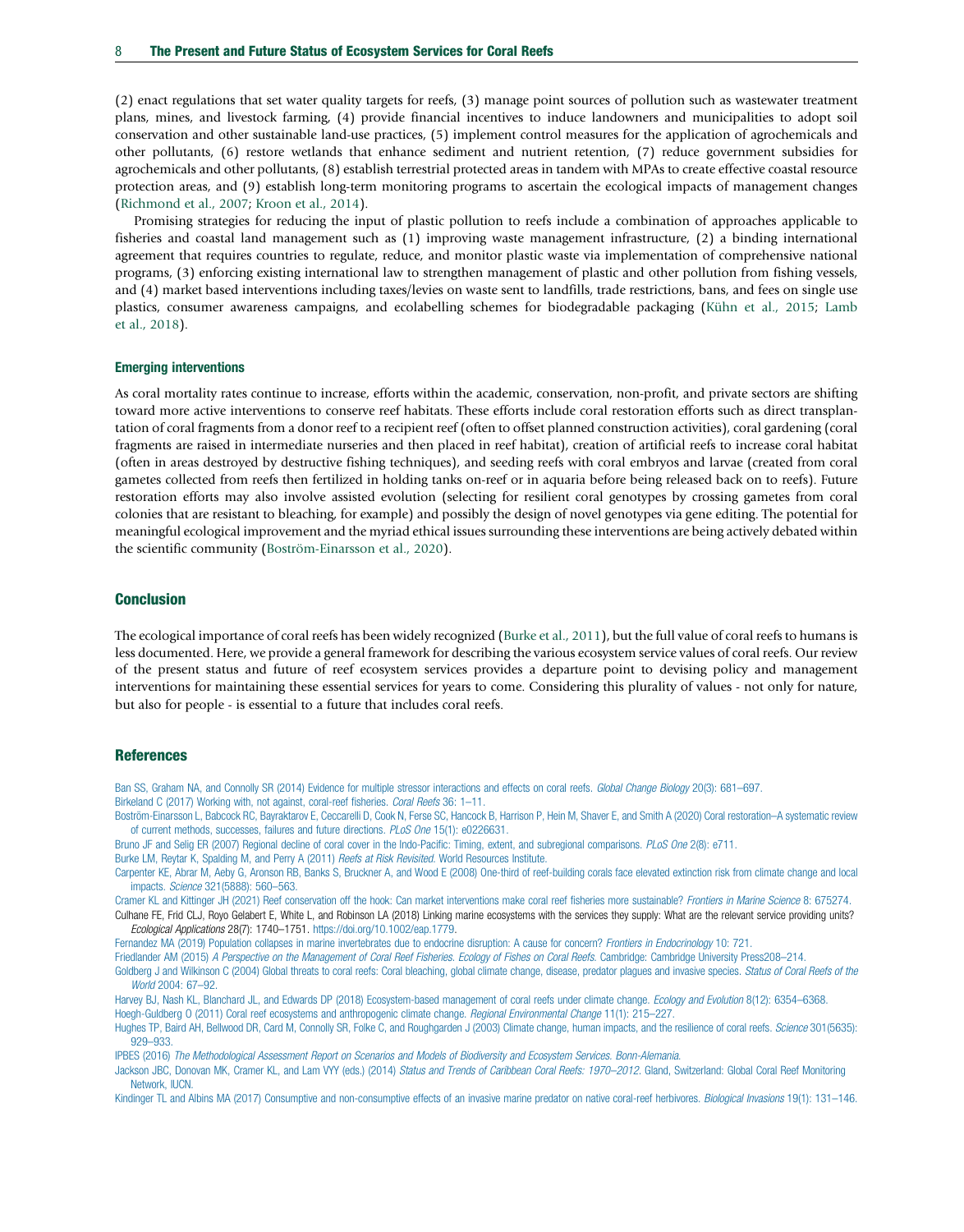<span id="page-7-0"></span>(2) enact regulations that set water quality targets for reefs, (3) manage point sources of pollution such as wastewater treatment plans, mines, and livestock farming, (4) provide financial incentives to induce landowners and municipalities to adopt soil conservation and other sustainable land-use practices, (5) implement control measures for the application of agrochemicals and other pollutants, (6) restore wetlands that enhance sediment and nutrient retention, (7) reduce government subsidies for agrochemicals and other pollutants, (8) establish terrestrial protected areas in tandem with MPAs to create effective coastal resource protection areas, and (9) establish long-term monitoring programs to ascertain the ecological impacts of management changes ([Richmond et al., 2007;](#page-8-0) [Kroon et al., 2014](#page-8-0)).

Promising strategies for reducing the input of plastic pollution to reefs include a combination of approaches applicable to fisheries and coastal land management such as (1) improving waste management infrastructure, (2) a binding international agreement that requires countries to regulate, reduce, and monitor plastic waste via implementation of comprehensive national programs, (3) enforcing existing international law to strengthen management of plastic and other pollution from fishing vessels, and (4) market based interventions including taxes/levies on waste sent to landfills, trade restrictions, bans, and fees on single use plastics, consumer awareness campaigns, and ecolabelling schemes for biodegradable packaging ([Kühn et al., 2015;](#page-8-0) [Lamb](#page-8-0) [et al., 2018\)](#page-8-0).

### Emerging interventions

As coral mortality rates continue to increase, efforts within the academic, conservation, non-profit, and private sectors are shifting toward more active interventions to conserve reef habitats. These efforts include coral restoration efforts such as direct transplantation of coral fragments from a donor reef to a recipient reef (often to offset planned construction activities), coral gardening (coral fragments are raised in intermediate nurseries and then placed in reef habitat), creation of artificial reefs to increase coral habitat (often in areas destroyed by destructive fishing techniques), and seeding reefs with coral embryos and larvae (created from coral gametes collected from reefs then fertilized in holding tanks on-reef or in aquaria before being released back on to reefs). Future restoration efforts may also involve assisted evolution (selecting for resilient coral genotypes by crossing gametes from coral colonies that are resistant to bleaching, for example) and possibly the design of novel genotypes via gene editing. The potential for meaningful ecological improvement and the myriad ethical issues surrounding these interventions are being actively debated within the scientific community (Boström-Einarsson et al., 2020).

# **Conclusion**

The ecological importance of coral reefs has been widely recognized (Burke et al., 2011), but the full value of coral reefs to humans is less documented. Here, we provide a general framework for describing the various ecosystem service values of coral reefs. Our review of the present status and future of reef ecosystem services provides a departure point to devising policy and management interventions for maintaining these essential services for years to come. Considering this plurality of values - not only for nature, but also for people - is essential to a future that includes coral reefs.

## References

[Ban SS, Graham NA, and Connolly SR \(2014\) Evidence for multiple stressor interactions and effects on coral reefs.](http://refhub.elsevier.com/B978-0-12-821139-7.00177-X/rf0010) Global Change Biology 20(3): 681-697. [Birkeland C \(2017\) Working with, not against, coral-reef fisheries.](http://refhub.elsevier.com/B978-0-12-821139-7.00177-X/rf0015) Coral Reefs 36: 1-11.

[Boström-Einarsson L, Babcock RC, Bayraktarov E, Ceccarelli D, Cook N, Ferse SC, Hancock B, Harrison P, Hein M, Shaver E, and Smith A \(2020\) Coral restoration](http://refhub.elsevier.com/B978-0-12-821139-7.00177-X/rf0020)–A systematic review [of current methods, successes, failures and future directions.](http://refhub.elsevier.com/B978-0-12-821139-7.00177-X/rf0020) PLoS One 15(1): e0226631.

[Bruno JF and Selig ER \(2007\) Regional decline of coral cover in the Indo-Pacific: Timing, extent, and subregional comparisons.](http://refhub.elsevier.com/B978-0-12-821139-7.00177-X/rf0025) PLoS One 2(8): e711.

[Burke LM, Reytar K, Spalding M, and Perry A \(2011\)](http://refhub.elsevier.com/B978-0-12-821139-7.00177-X/rf0030) Reefs at Risk Revisited. World Resources Institute.

[Carpenter KE, Abrar M, Aeby G, Aronson RB, Banks S, Bruckner A, and Wood E \(2008\) One-third of reef-building corals face elevated extinction risk from climate change and local](http://refhub.elsevier.com/B978-0-12-821139-7.00177-X/rf0035) impacts. Science [321\(5888\): 560](http://refhub.elsevier.com/B978-0-12-821139-7.00177-X/rf0035)–563.

[Cramer KL and Kittinger JH \(2021\) Reef conservation off the hook: Can market interventions make coral reef fisheries more sustainable?](http://refhub.elsevier.com/B978-0-12-821139-7.00177-X/rf0040) Frontiers in Marine Science 8: 675274. Culhane FE, Frid CLJ, Royo Gelabert E, White L, and Robinson LA (2018) Linking marine ecosystems with the services they supply: What are the relevant service providing units? Ecological Applications 28(7): 1740–1751. [https://doi.org/10.1002/eap.1779.](https://doi.org/10.1002/eap.1779)

[Fernandez MA \(2019\) Population collapses in marine invertebrates due to endocrine disruption: A cause for concern?](http://refhub.elsevier.com/B978-0-12-821139-7.00177-X/rf0050) Frontiers in Endocrinology 10: 721.

Friedlander AM (2015) [A Perspective on the Management of Coral Reef Fisheries. Ecology of Fishes on Coral Reefs](http://refhub.elsevier.com/B978-0-12-821139-7.00177-X/rf0055). Cambridge: Cambridge University Press208-214.

[Goldberg J and Wilkinson C \(2004\) Global threats to coral reefs: Coral bleaching, global climate change, disease, predator plagues and invasive species.](http://refhub.elsevier.com/B978-0-12-821139-7.00177-X/rf0060) Status of Coral Reefs of the World [2004: 67](http://refhub.elsevier.com/B978-0-12-821139-7.00177-X/rf0060)-92.

[Harvey BJ, Nash KL, Blanchard JL, and Edwards DP \(2018\) Ecosystem-based management of coral reefs under climate change.](http://refhub.elsevier.com/B978-0-12-821139-7.00177-X/rf0065) Ecology and Evolution 8(12): 6354–6368. [Hoegh-Guldberg O \(2011\) Coral reef ecosystems and anthropogenic climate change.](http://refhub.elsevier.com/B978-0-12-821139-7.00177-X/rf0070) Regional Environmental Change 11(1): 215–227.

[Hughes TP, Baird AH, Bellwood DR, Card M, Connolly SR, Folke C, and Roughgarden J \(2003\) Climate change, human impacts, and the resilience of coral reefs.](http://refhub.elsevier.com/B978-0-12-821139-7.00177-X/rf0075) Science 301(5635): 929–[933.](http://refhub.elsevier.com/B978-0-12-821139-7.00177-X/rf0075)

IPBES (2016) [The Methodological Assessment Report on Scenarios and Models of Biodiversity and Ecosystem Services. Bonn-Alemania](http://refhub.elsevier.com/B978-0-12-821139-7.00177-X/rf0080).

[Jackson JBC, Donovan MK, Cramer KL, and Lam VYY \(eds.\) \(2014\)](http://refhub.elsevier.com/B978-0-12-821139-7.00177-X/rf0085) Status and Trends of Caribbean Coral Reefs: 1970-2012. Gland, Switzerland: Global Coral Reef Monitoring [Network, IUCN.](http://refhub.elsevier.com/B978-0-12-821139-7.00177-X/rf0085)

[Kindinger TL and Albins MA \(2017\) Consumptive and non-consumptive effects of an invasive marine predator on native coral-reef herbivores.](http://refhub.elsevier.com/B978-0-12-821139-7.00177-X/rf0090) Biological Invasions 19(1): 131-146.